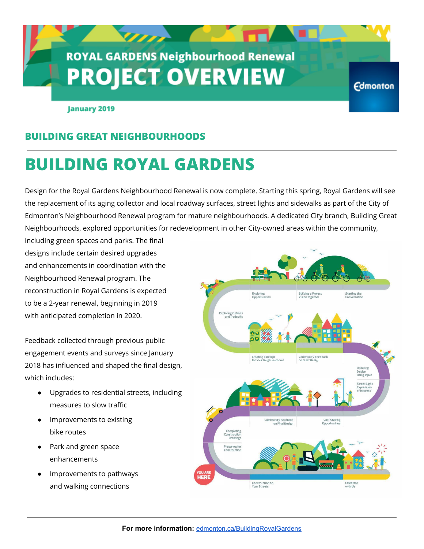# **ROYAL GARDENS Neighbourhood Renewal PROJECT OVERVIEW**

 $\sigma$ 

**January 2019** 

### **BUILDING GREAT NEIGHBOURHOODS**

# **BUILDING ROYAL GARDENS**

Design for the Royal Gardens Neighbourhood Renewal is now complete. Starting this spring, Royal Gardens will see the replacement of its aging collector and local roadway surfaces, street lights and sidewalks as part of the City of Edmonton's Neighbourhood Renewal program for mature neighbourhoods. A dedicated City branch, Building Great Neighbourhoods, explored opportunities for redevelopment in other City-owned areas within the community,

including green spaces and parks. The final designs include certain desired upgrades and enhancements in coordination with the Neighbourhood Renewal program. The reconstruction in Royal Gardens is expected to be a 2-year renewal, beginning in 2019 with anticipated completion in 2020.

Feedback collected through previous public engagement events and surveys since January 2018 has influenced and shaped the final design, which includes:

- Upgrades to residential streets, including measures to slow traffic
- Improvements to existing bike routes
- Park and green space enhancements
- Improvements to pathways and walking connections



**Edmonton**